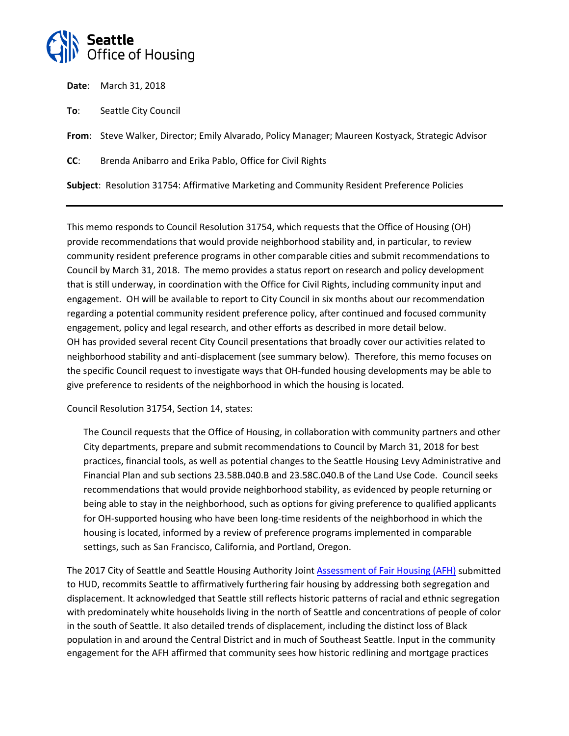

**Date**: March 31, 2018

**To**: Seattle City Council

**From**: Steve Walker, Director; Emily Alvarado, Policy Manager; Maureen Kostyack, Strategic Advisor

**CC**: Brenda Anibarro and Erika Pablo, Office for Civil Rights

**Subject**: Resolution 31754: Affirmative Marketing and Community Resident Preference Policies

This memo responds to Council Resolution 31754, which requests that the Office of Housing (OH) provide recommendations that would provide neighborhood stability and, in particular, to review community resident preference programs in other comparable cities and submit recommendations to Council by March 31, 2018. The memo provides a status report on research and policy development that is still underway, in coordination with the Office for Civil Rights, including community input and engagement. OH will be available to report to City Council in six months about our recommendation regarding a potential community resident preference policy, after continued and focused community engagement, policy and legal research, and other efforts as described in more detail below. OH has provided several recent City Council presentations that broadly cover our activities related to neighborhood stability and anti-displacement (see summary below). Therefore, this memo focuses on the specific Council request to investigate ways that OH-funded housing developments may be able to give preference to residents of the neighborhood in which the housing is located.

Council Resolution 31754, Section 14, states:

The Council requests that the Office of Housing, in collaboration with community partners and other City departments, prepare and submit recommendations to Council by March 31, 2018 for best practices, financial tools, as well as potential changes to the Seattle Housing Levy Administrative and Financial Plan and sub sections 23.58B.040.B and 23.58C.040.B of the Land Use Code. Council seeks recommendations that would provide neighborhood stability, as evidenced by people returning or being able to stay in the neighborhood, such as options for giving preference to qualified applicants for OH-supported housing who have been long-time residents of the neighborhood in which the housing is located, informed by a review of preference programs implemented in comparable settings, such as San Francisco, California, and Portland, Oregon.

The 2017 City of Seattle and Seattle Housing Authority Joint Assessment [of Fair Housing](http://www.seattle.gov/documents/departments/humanservices/cdbg/2017%20afh%20final.4.25.17v2.pdf) (AFH) submitted to HUD, recommits Seattle to affirmatively furthering fair housing by addressing both segregation and displacement. It acknowledged that Seattle still reflects historic patterns of racial and ethnic segregation with predominately white households living in the north of Seattle and concentrations of people of color in the south of Seattle. It also detailed trends of displacement, including the distinct loss of Black population in and around the Central District and in much of Southeast Seattle. Input in the community engagement for the AFH affirmed that community sees how historic redlining and mortgage practices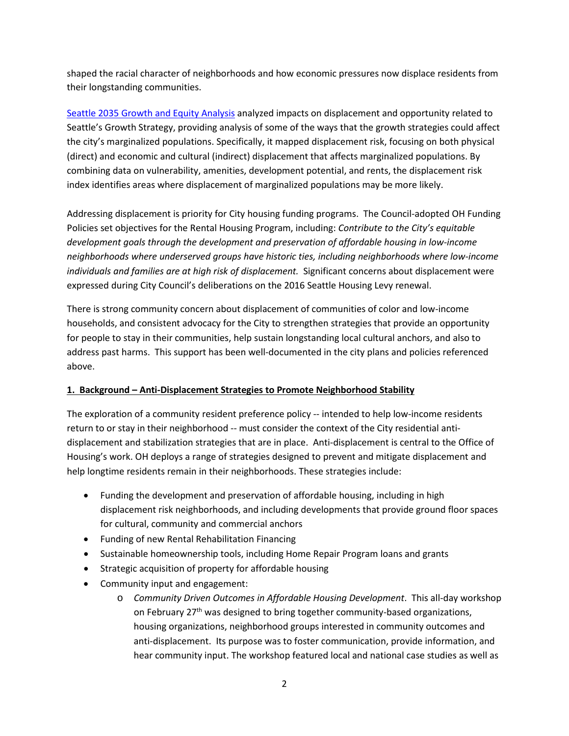shaped the racial character of neighborhoods and how economic pressures now displace residents from their longstanding communities.

[Seattle 2035 Growth and Equity Analysis](http://www.seattle.gov/dpd/cs/groups/pan/@pan/documents/web_informational/p2427615.pdf) analyzed impacts on displacement and opportunity related to Seattle's Growth Strategy, providing analysis of some of the ways that the growth strategies could affect the city's marginalized populations. Specifically, it mapped displacement risk, focusing on both physical (direct) and economic and cultural (indirect) displacement that affects marginalized populations. By combining data on vulnerability, amenities, development potential, and rents, the displacement risk index identifies areas where displacement of marginalized populations may be more likely.

Addressing displacement is priority for City housing funding programs. The Council-adopted OH Funding Policies set objectives for the Rental Housing Program, including: *Contribute to the City's equitable development goals through the development and preservation of affordable housing in low-income neighborhoods where underserved groups have historic ties, including neighborhoods where low-income individuals and families are at high risk of displacement.* Significant concerns about displacement were expressed during City Council's deliberations on the 2016 Seattle Housing Levy renewal.

There is strong community concern about displacement of communities of color and low-income households, and consistent advocacy for the City to strengthen strategies that provide an opportunity for people to stay in their communities, help sustain longstanding local cultural anchors, and also to address past harms. This support has been well-documented in the city plans and policies referenced above.

#### **1. Background – Anti-Displacement Strategies to Promote Neighborhood Stability**

The exploration of a community resident preference policy -- intended to help low-income residents return to or stay in their neighborhood -- must consider the context of the City residential antidisplacement and stabilization strategies that are in place. Anti-displacement is central to the Office of Housing's work. OH deploys a range of strategies designed to prevent and mitigate displacement and help longtime residents remain in their neighborhoods. These strategies include:

- Funding the development and preservation of affordable housing, including in high displacement risk neighborhoods, and including developments that provide ground floor spaces for cultural, community and commercial anchors
- Funding of new Rental Rehabilitation Financing
- Sustainable homeownership tools, including Home Repair Program loans and grants
- Strategic acquisition of property for affordable housing
- Community input and engagement:
	- o *Community Driven Outcomes in Affordable Housing Development*. This all-day workshop on February 27<sup>th</sup> was designed to bring together community-based organizations, housing organizations, neighborhood groups interested in community outcomes and anti-displacement. Its purpose was to foster communication, provide information, and hear community input. The workshop featured local and national case studies as well as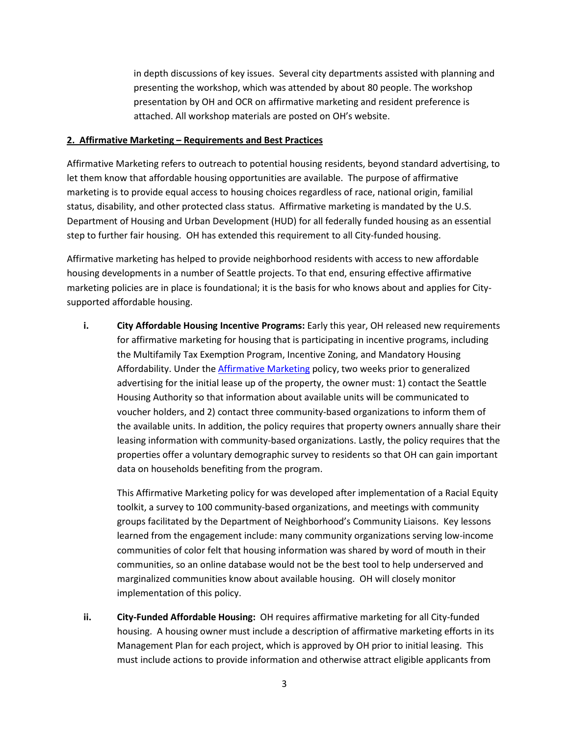in depth discussions of key issues. Several city departments assisted with planning and presenting the workshop, which was attended by about 80 people. The workshop presentation by OH and OCR on affirmative marketing and resident preference is attached. All workshop materials are posted on OH's website.

#### **2. Affirmative Marketing – Requirements and Best Practices**

Affirmative Marketing refers to outreach to potential housing residents, beyond standard advertising, to let them know that affordable housing opportunities are available. The purpose of affirmative marketing is to provide equal access to housing choices regardless of race, national origin, familial status, disability, and other protected class status. Affirmative marketing is mandated by the U.S. Department of Housing and Urban Development (HUD) for all federally funded housing as an essential step to further fair housing. OH has extended this requirement to all City-funded housing.

Affirmative marketing has helped to provide neighborhood residents with access to new affordable housing developments in a number of Seattle projects. To that end, ensuring effective affirmative marketing policies are in place is foundational; it is the basis for who knows about and applies for Citysupported affordable housing.

**i. City Affordable Housing Incentive Programs:** Early this year, OH released new requirements for affirmative marketing for housing that is participating in incentive programs, including the Multifamily Tax Exemption Program, Incentive Zoning, and Mandatory Housing Affordability. Under the [Affirmative Marketing](http://www.seattle.gov/Documents/Departments/Housing/HousingDevelopers/MultifamilyTaxExemption/Affirmative%20Marketing%20Plan%20-%20Info%20sheet.pdf) policy, two weeks prior to generalized advertising for the initial lease up of the property, the owner must: 1) contact the Seattle Housing Authority so that information about available units will be communicated to voucher holders, and 2) contact three community-based organizations to inform them of the available units. In addition, the policy requires that property owners annually share their leasing information with community-based organizations. Lastly, the policy requires that the properties offer a voluntary demographic survey to residents so that OH can gain important data on households benefiting from the program.

This Affirmative Marketing policy for was developed after implementation of a Racial Equity toolkit, a survey to 100 community-based organizations, and meetings with community groups facilitated by the Department of Neighborhood's Community Liaisons. Key lessons learned from the engagement include: many community organizations serving low-income communities of color felt that housing information was shared by word of mouth in their communities, so an online database would not be the best tool to help underserved and marginalized communities know about available housing. OH will closely monitor implementation of this policy.

**ii. City-Funded Affordable Housing:** OH requires affirmative marketing for all City-funded housing. A housing owner must include a description of affirmative marketing efforts in its Management Plan for each project, which is approved by OH prior to initial leasing. This must include actions to provide information and otherwise attract eligible applicants from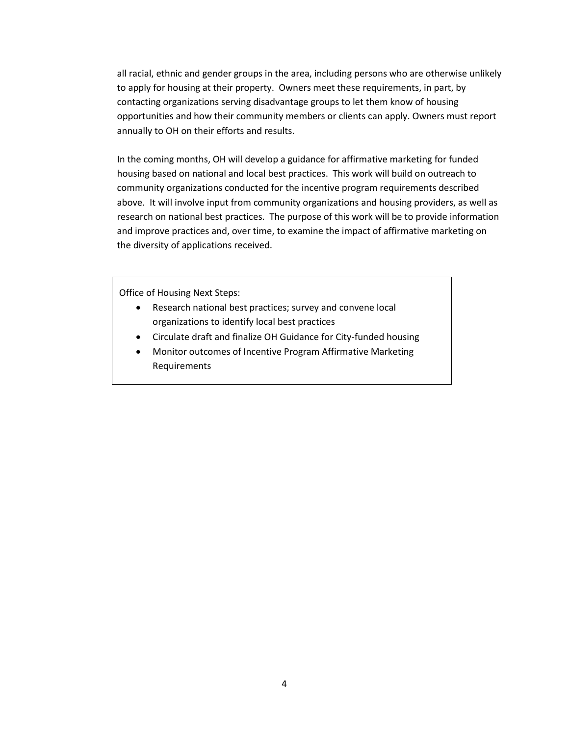all racial, ethnic and gender groups in the area, including persons who are otherwise unlikely to apply for housing at their property. Owners meet these requirements, in part, by contacting organizations serving disadvantage groups to let them know of housing opportunities and how their community members or clients can apply. Owners must report annually to OH on their efforts and results.

In the coming months, OH will develop a guidance for affirmative marketing for funded housing based on national and local best practices. This work will build on outreach to community organizations conducted for the incentive program requirements described above. It will involve input from community organizations and housing providers, as well as research on national best practices. The purpose of this work will be to provide information and improve practices and, over time, to examine the impact of affirmative marketing on the diversity of applications received.

Office of Housing Next Steps:

- Research national best practices; survey and convene local organizations to identify local best practices
- Circulate draft and finalize OH Guidance for City-funded housing
- Monitor outcomes of Incentive Program Affirmative Marketing Requirements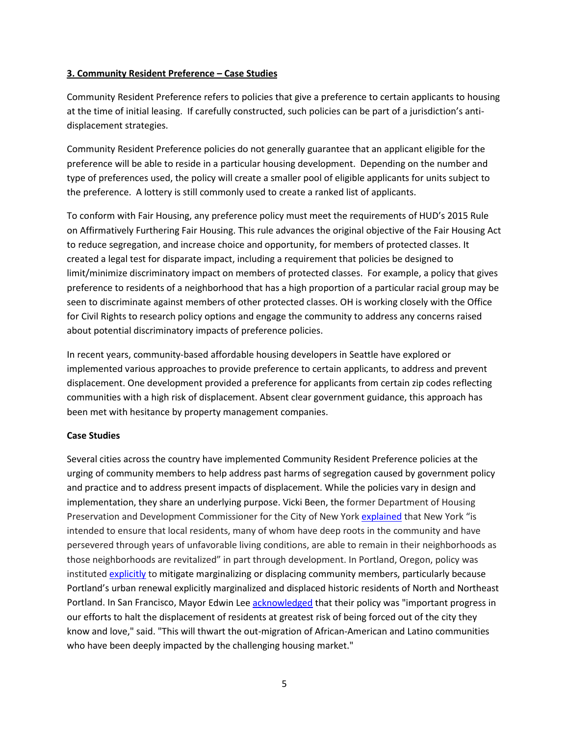#### **3. Community Resident Preference – Case Studies**

Community Resident Preference refers to policies that give a preference to certain applicants to housing at the time of initial leasing. If carefully constructed, such policies can be part of a jurisdiction's antidisplacement strategies.

Community Resident Preference policies do not generally guarantee that an applicant eligible for the preference will be able to reside in a particular housing development. Depending on the number and type of preferences used, the policy will create a smaller pool of eligible applicants for units subject to the preference. A lottery is still commonly used to create a ranked list of applicants.

To conform with Fair Housing, any preference policy must meet the requirements of HUD's 2015 Rule on Affirmatively Furthering Fair Housing. This rule advances the original objective of the Fair Housing Act to reduce segregation, and increase choice and opportunity, for members of protected classes. It created a legal test for disparate impact, including a requirement that policies be designed to limit/minimize discriminatory impact on members of protected classes. For example, a policy that gives preference to residents of a neighborhood that has a high proportion of a particular racial group may be seen to discriminate against members of other protected classes. OH is working closely with the Office for Civil Rights to research policy options and engage the community to address any concerns raised about potential discriminatory impacts of preference policies.

In recent years, community-based affordable housing developers in Seattle have explored or implemented various approaches to provide preference to certain applicants, to address and prevent displacement. One development provided a preference for applicants from certain zip codes reflecting communities with a high risk of displacement. Absent clear government guidance, this approach has been met with hesitance by property management companies.

#### **Case Studies**

Several cities across the country have implemented Community Resident Preference policies at the urging of community members to help address past harms of segregation caused by government policy and practice and to address present impacts of displacement. While the policies vary in design and implementation, they share an underlying purpose. Vicki Been, the former Department of Housing Preservation and Development Commissioner for the City of New York [explained](https://ralphlosey.files.wordpress.com/2017/12/winfield-v-city-of-new-york-tar-case.pdf) that New York "is intended to ensure that local residents, many of whom have deep roots in the community and have persevered through years of unfavorable living conditions, are able to remain in their neighborhoods as those neighborhoods are revitalized" in part through development. In Portland, Oregon, policy was institute[d explicitly](http://media.oregonlive.com/portland_impact/other/NNE%20Combined%20Presentation%2012%2015%202015.pdf) to mitigate marginalizing or displacing community members, particularly because Portland's urban renewal explicitly marginalized and displaced historic residents of North and Northeast Portland. In San Francisco, Mayor Edwin Lee [acknowledged](https://www.npr.org/2016/09/23/495237494/feds-to-allow-preferences-for-low-income-applicants-in-s-f-housing-complex) that their policy was "important progress in our efforts to halt the displacement of residents at greatest risk of being forced out of the city they know and love," said. "This will thwart the out-migration of African-American and Latino communities who have been deeply impacted by the challenging housing market."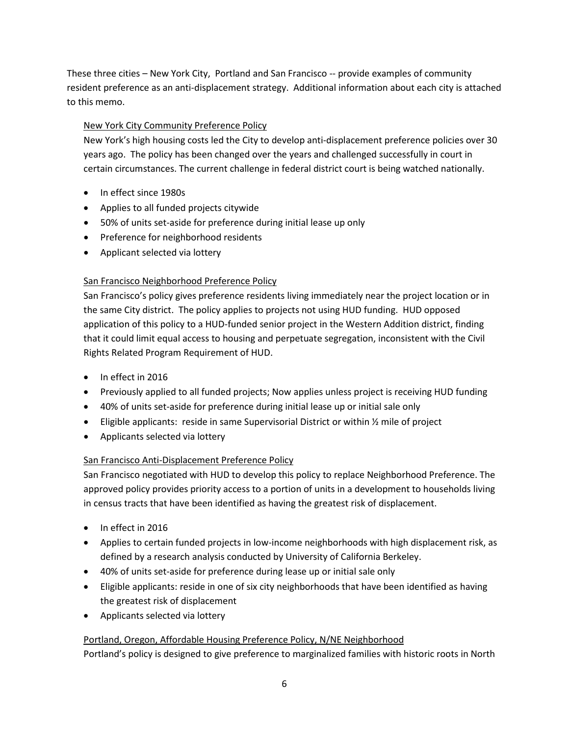These three cities – New York City, Portland and San Francisco -- provide examples of community resident preference as an anti-displacement strategy. Additional information about each city is attached to this memo.

# New York City Community Preference Policy

New York's high housing costs led the City to develop anti-displacement preference policies over 30 years ago. The policy has been changed over the years and challenged successfully in court in certain circumstances. The current challenge in federal district court is being watched nationally.

- In effect since 1980s
- Applies to all funded projects citywide
- 50% of units set-aside for preference during initial lease up only
- Preference for neighborhood residents
- Applicant selected via lottery

# San Francisco Neighborhood Preference Policy

San Francisco's policy gives preference residents living immediately near the project location or in the same City district. The policy applies to projects not using HUD funding. HUD opposed application of this policy to a HUD-funded senior project in the Western Addition district, finding that it could limit equal access to housing and perpetuate segregation, inconsistent with the Civil Rights Related Program Requirement of HUD.

- In effect in 2016
- Previously applied to all funded projects; Now applies unless project is receiving HUD funding
- 40% of units set-aside for preference during initial lease up or initial sale only
- Eligible applicants: reside in same Supervisorial District or within  $\frac{1}{2}$  mile of project
- Applicants selected via lottery

# San Francisco Anti-Displacement Preference Policy

San Francisco negotiated with HUD to develop this policy to replace Neighborhood Preference. The approved policy provides priority access to a portion of units in a development to households living in census tracts that have been identified as having the greatest risk of displacement.

- In effect in 2016
- Applies to certain funded projects in low-income neighborhoods with high displacement risk, as defined by a research analysis conducted by University of California Berkeley.
- 40% of units set-aside for preference during lease up or initial sale only
- Eligible applicants: reside in one of six city neighborhoods that have been identified as having the greatest risk of displacement
- Applicants selected via lottery

# Portland, Oregon, Affordable Housing Preference Policy, N/NE Neighborhood

Portland's policy is designed to give preference to marginalized families with historic roots in North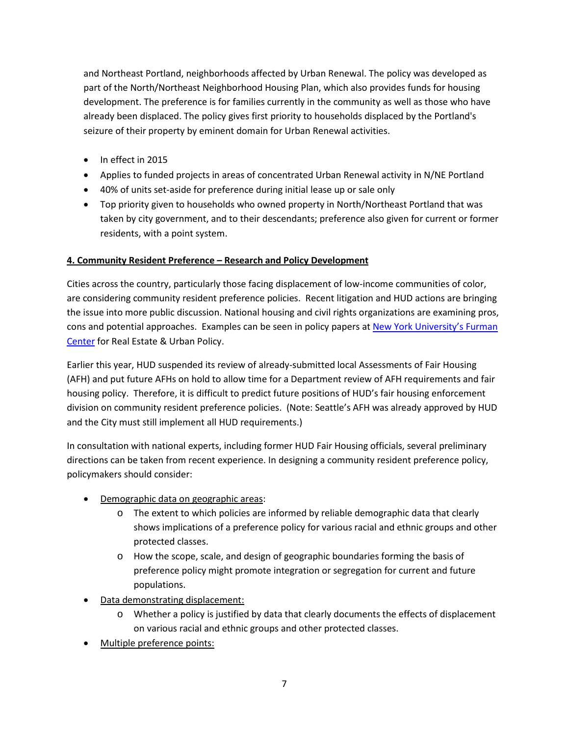and Northeast Portland, neighborhoods affected by Urban Renewal. The policy was developed as part of the North/Northeast Neighborhood Housing Plan, which also provides funds for housing development. The preference is for families currently in the community as well as those who have already been displaced. The policy gives first priority to households displaced by the Portland's seizure of their property by eminent domain for Urban Renewal activities.

- In effect in 2015
- Applies to funded projects in areas of concentrated Urban Renewal activity in N/NE Portland
- 40% of units set-aside for preference during initial lease up or sale only
- Top priority given to households who owned property in North/Northeast Portland that was taken by city government, and to their descendants; preference also given for current or former residents, with a point system.

# **4. Community Resident Preference – Research and Policy Development**

Cities across the country, particularly those facing displacement of low-income communities of color, are considering community resident preference policies. Recent litigation and HUD actions are bringing the issue into more public discussion. National housing and civil rights organizations are examining pros, cons and potential approaches. Examples can be seen in policy papers at [New York University's](http://furmancenter.org/research/iri/discussions/community-preferences-and-fair-housing.) Furman [Center](http://furmancenter.org/research/iri/discussions/community-preferences-and-fair-housing.) for Real Estate & Urban Policy.

Earlier this year, HUD suspended its review of already-submitted local Assessments of Fair Housing (AFH) and put future AFHs on hold to allow time for a Department review of AFH requirements and fair housing policy. Therefore, it is difficult to predict future positions of HUD's fair housing enforcement division on community resident preference policies. (Note: Seattle's AFH was already approved by HUD and the City must still implement all HUD requirements.)

In consultation with national experts, including former HUD Fair Housing officials, several preliminary directions can be taken from recent experience. In designing a community resident preference policy, policymakers should consider:

- Demographic data on geographic areas:
	- o The extent to which policies are informed by reliable demographic data that clearly shows implications of a preference policy for various racial and ethnic groups and other protected classes.
	- o How the scope, scale, and design of geographic boundaries forming the basis of preference policy might promote integration or segregation for current and future populations.
- Data demonstrating displacement:
	- o Whether a policy is justified by data that clearly documents the effects of displacement on various racial and ethnic groups and other protected classes.
- Multiple preference points: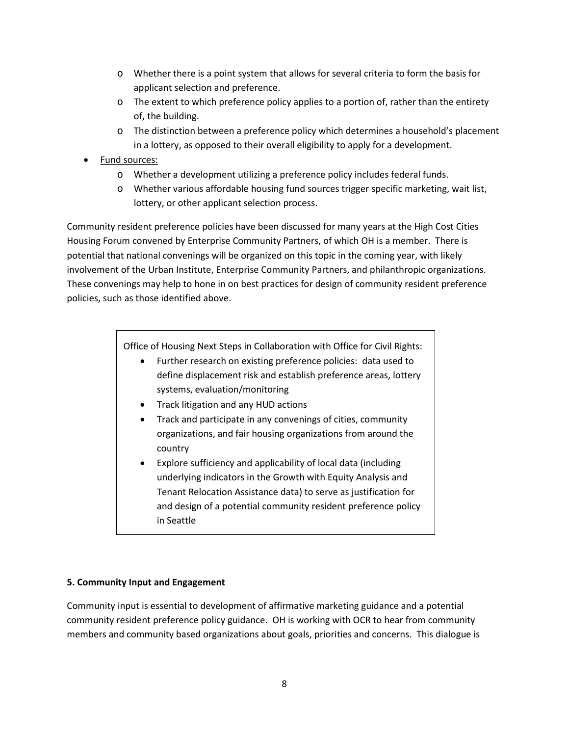- o Whether there is a point system that allows for several criteria to form the basis for applicant selection and preference.
- $\circ$  The extent to which preference policy applies to a portion of, rather than the entirety of, the building.
- o The distinction between a preference policy which determines a household's placement in a lottery, as opposed to their overall eligibility to apply for a development.
- Fund sources:
	- o Whether a development utilizing a preference policy includes federal funds.
	- o Whether various affordable housing fund sources trigger specific marketing, wait list, lottery, or other applicant selection process.

Community resident preference policies have been discussed for many years at the High Cost Cities Housing Forum convened by Enterprise Community Partners, of which OH is a member. There is potential that national convenings will be organized on this topic in the coming year, with likely involvement of the Urban Institute, Enterprise Community Partners, and philanthropic organizations. These convenings may help to hone in on best practices for design of community resident preference policies, such as those identified above.

Office of Housing Next Steps in Collaboration with Office for Civil Rights:

- Further research on existing preference policies: data used to define displacement risk and establish preference areas, lottery systems, evaluation/monitoring
- Track litigation and any HUD actions
- Track and participate in any convenings of cities, community organizations, and fair housing organizations from around the country
- Explore sufficiency and applicability of local data (including underlying indicators in the Growth with Equity Analysis and Tenant Relocation Assistance data) to serve as justification for and design of a potential community resident preference policy in Seattle

# **5. Community Input and Engagement**

Community input is essential to development of affirmative marketing guidance and a potential community resident preference policy guidance. OH is working with OCR to hear from community members and community based organizations about goals, priorities and concerns. This dialogue is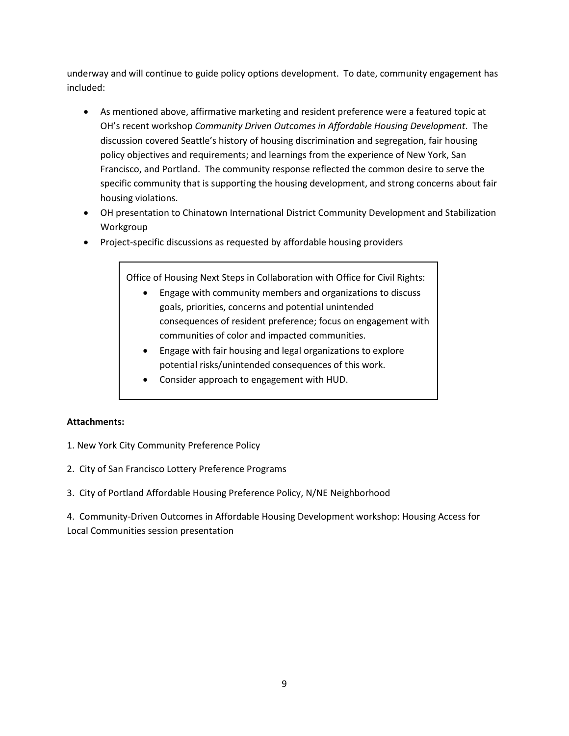underway and will continue to guide policy options development. To date, community engagement has included:

- As mentioned above, affirmative marketing and resident preference were a featured topic at OH's recent workshop *Community Driven Outcomes in Affordable Housing Development*. The discussion covered Seattle's history of housing discrimination and segregation, fair housing policy objectives and requirements; and learnings from the experience of New York, San Francisco, and Portland. The community response reflected the common desire to serve the specific community that is supporting the housing development, and strong concerns about fair housing violations.
- OH presentation to Chinatown International District Community Development and Stabilization Workgroup
- Project-specific discussions as requested by affordable housing providers

Office of Housing Next Steps in Collaboration with Office for Civil Rights:

- Engage with community members and organizations to discuss goals, priorities, concerns and potential unintended consequences of resident preference; focus on engagement with communities of color and impacted communities.
- Engage with fair housing and legal organizations to explore potential risks/unintended consequences of this work.
- Consider approach to engagement with HUD.

#### **Attachments:**

- 1. New York City Community Preference Policy
- 2. City of San Francisco Lottery Preference Programs
- 3. City of Portland Affordable Housing Preference Policy, N/NE Neighborhood

4. Community-Driven Outcomes in Affordable Housing Development workshop: Housing Access for Local Communities session presentation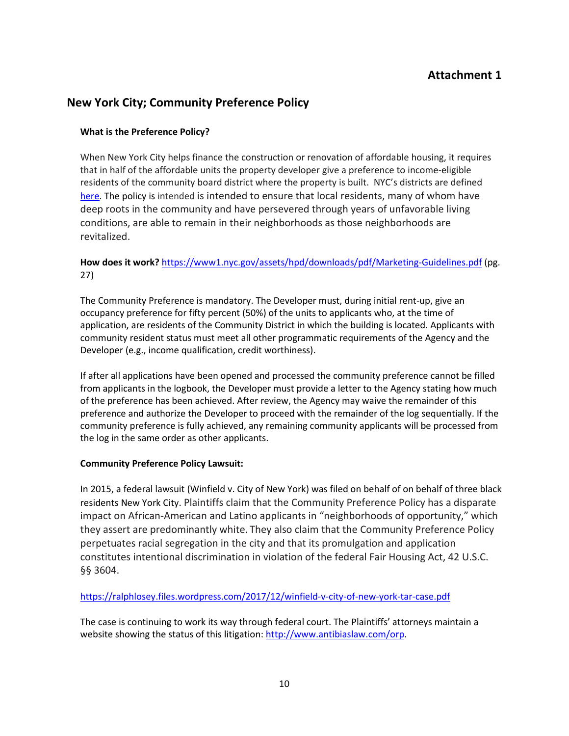# **Attachment 1**

# **New York City; Community Preference Policy**

## **What is the Preference Policy?**

When New York City helps finance the construction or renovation of affordable housing, it requires that in half of the affordable units the property developer give a preference to income-eligible residents of the community board district where the property is built. NYC's districts are defined [here.](http://www.nyc.gov/html/%20cau/html/cb/cb.shtml) The policy is intended is intended to ensure that local residents, many of whom have deep roots in the community and have persevered through years of unfavorable living conditions, are able to remain in their neighborhoods as those neighborhoods are revitalized.

# **How does it work?** <https://www1.nyc.gov/assets/hpd/downloads/pdf/Marketing-Guidelines.pdf> (pg. 27)

The Community Preference is mandatory. The Developer must, during initial rent-up, give an occupancy preference for fifty percent (50%) of the units to applicants who, at the time of application, are residents of the Community District in which the building is located. Applicants with community resident status must meet all other programmatic requirements of the Agency and the Developer (e.g., income qualification, credit worthiness).

If after all applications have been opened and processed the community preference cannot be filled from applicants in the logbook, the Developer must provide a letter to the Agency stating how much of the preference has been achieved. After review, the Agency may waive the remainder of this preference and authorize the Developer to proceed with the remainder of the log sequentially. If the community preference is fully achieved, any remaining community applicants will be processed from the log in the same order as other applicants.

#### **Community Preference Policy Lawsuit:**

In 2015, a federal lawsuit (Winfield v. City of New York) was filed on behalf of on behalf of three black residents New York City. Plaintiffs claim that the Community Preference Policy has a disparate impact on African-American and Latino applicants in "neighborhoods of opportunity," which they assert are predominantly white. They also claim that the Community Preference Policy perpetuates racial segregation in the city and that its promulgation and application constitutes intentional discrimination in violation of the federal Fair Housing Act, 42 U.S.C. §§ 3604.

# <https://ralphlosey.files.wordpress.com/2017/12/winfield-v-city-of-new-york-tar-case.pdf>

The case is continuing to work its way through federal court. The Plaintiffs' attorneys maintain a website showing the status of this litigation: [http://www.antibiaslaw.com/orp.](http://www.antibiaslaw.com/orp)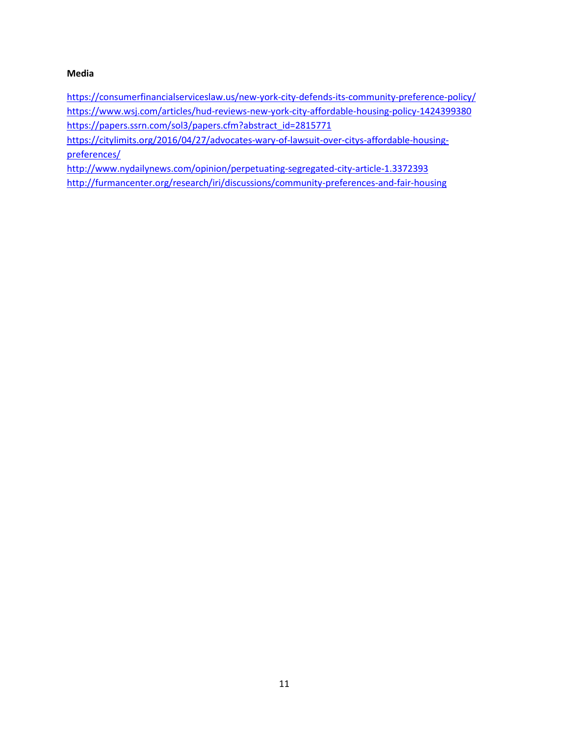### **Media**

<https://consumerfinancialserviceslaw.us/new-york-city-defends-its-community-preference-policy/> <https://www.wsj.com/articles/hud-reviews-new-york-city-affordable-housing-policy-1424399380> [https://papers.ssrn.com/sol3/papers.cfm?abstract\\_id=2815771](https://papers.ssrn.com/sol3/papers.cfm?abstract_id=2815771)

[https://citylimits.org/2016/04/27/advocates-wary-of-lawsuit-over-citys-affordable-housing](https://citylimits.org/2016/04/27/advocates-wary-of-lawsuit-over-citys-affordable-housing-preferences/)[preferences/](https://citylimits.org/2016/04/27/advocates-wary-of-lawsuit-over-citys-affordable-housing-preferences/)

<http://www.nydailynews.com/opinion/perpetuating-segregated-city-article-1.3372393> <http://furmancenter.org/research/iri/discussions/community-preferences-and-fair-housing>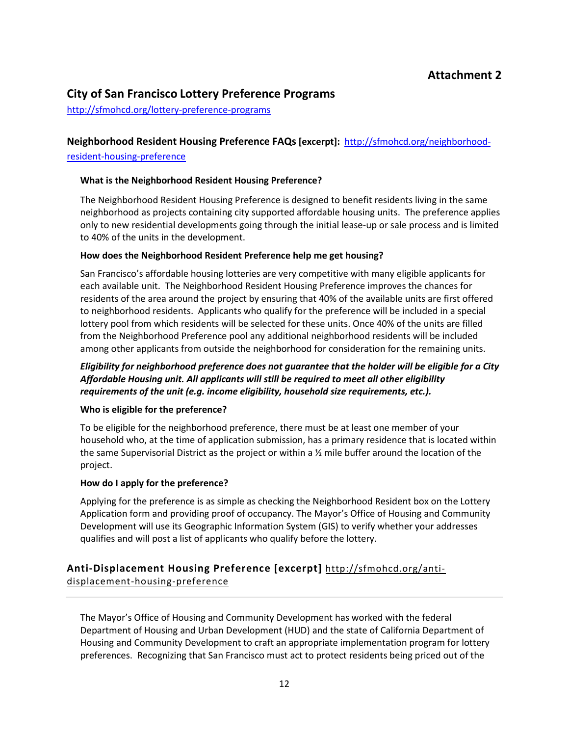# **City of San Francisco Lottery Preference Programs**

<http://sfmohcd.org/lottery-preference-programs>

# **Neighborhood Resident Housing Preference FAQs [excerpt]:** [http://sfmohcd.org/neighborhood-](http://sfmohcd.org/neighborhood-resident-housing-preference)

### [resident-housing-preference](http://sfmohcd.org/neighborhood-resident-housing-preference)

#### **What is the Neighborhood Resident Housing Preference?**

The Neighborhood Resident Housing Preference is designed to benefit residents living in the same neighborhood as projects containing city supported affordable housing units. The preference applies only to new residential developments going through the initial lease-up or sale process and is limited to 40% of the units in the development.

### **How does the Neighborhood Resident Preference help me get housing?**

San Francisco's affordable housing lotteries are very competitive with many eligible applicants for each available unit. The Neighborhood Resident Housing Preference improves the chances for residents of the area around the project by ensuring that 40% of the available units are first offered to neighborhood residents. Applicants who qualify for the preference will be included in a special lottery pool from which residents will be selected for these units. Once 40% of the units are filled from the Neighborhood Preference pool any additional neighborhood residents will be included among other applicants from outside the neighborhood for consideration for the remaining units.

# *Eligibility for neighborhood preference does not guarantee that the holder will be eligible for a City Affordable Housing unit. All applicants will still be required to meet all other eligibility requirements of the unit (e.g. income eligibility, household size requirements, etc.).*

#### **Who is eligible for the preference?**

To be eligible for the neighborhood preference, there must be at least one member of your household who, at the time of application submission, has a primary residence that is located within the same Supervisorial District as the project or within a  $\frac{1}{2}$  mile buffer around the location of the project.

#### **How do I apply for the preference?**

Applying for the preference is as simple as checking the Neighborhood Resident box on the Lottery Application form and providing proof of occupancy. The Mayor's Office of Housing and Community Development will use its Geographic Information System (GIS) to verify whether your addresses qualifies and will post a list of applicants who qualify before the lottery.

# **Anti-Displacement Housing Preference [excerpt]** [http://sfmohcd.org/anti-](http://sfmohcd.org/anti-displacement-housing-preference)

[displacement-housing-preference](http://sfmohcd.org/anti-displacement-housing-preference)

The Mayor's Office of Housing and Community Development has worked with the federal Department of Housing and Urban Development (HUD) and the state of California Department of Housing and Community Development to craft an appropriate implementation program for lottery preferences. Recognizing that San Francisco must act to protect residents being priced out of the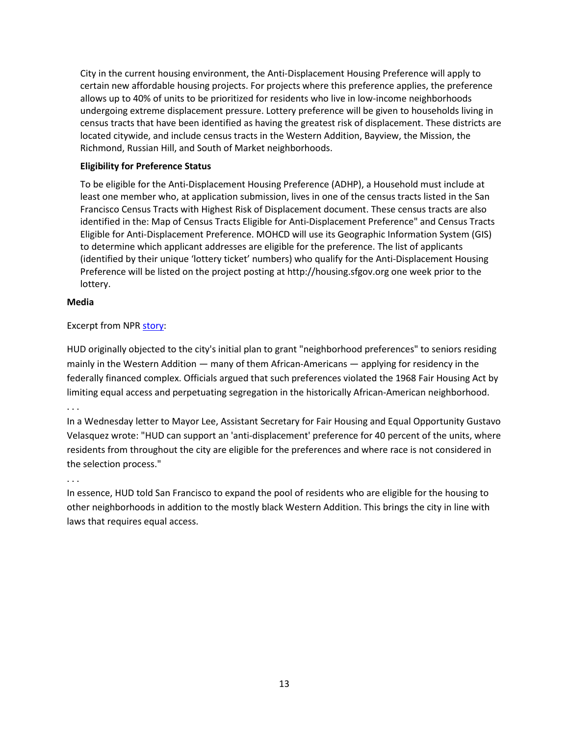City in the current housing environment, the Anti-Displacement Housing Preference will apply to certain new affordable housing projects. For projects where this preference applies, the preference allows up to 40% of units to be prioritized for residents who live in low-income neighborhoods undergoing extreme displacement pressure. Lottery preference will be given to households living in census tracts that have been identified as having the greatest risk of displacement. These districts are located citywide, and include census tracts in the Western Addition, Bayview, the Mission, the Richmond, Russian Hill, and South of Market neighborhoods.

## **Eligibility for Preference Status**

To be eligible for the Anti-Displacement Housing Preference (ADHP), a Household must include at least one member who, at application submission, lives in one of the census tracts listed in the San Francisco Census Tracts with Highest Risk of Displacement document. These census tracts are also identified in the: [Map of Census Tracts Eligible for Anti-Displacement Preference"](http://sfmohcd.org/sites/default/files/Documents/MOH/Map%20of%20Census%20Tracts%20Eligible%20for%20Anti-Displacement%20Preference_1.pdf) and [Census Tracts](http://sfmohcd.org/sites/default/files/Documents/MOH/Census%20Tracts%20Eligible%20for%20Anti-Displacement%20Preference_1.pdf)  [Eligible for Anti-Displacement Preference.](http://sfmohcd.org/sites/default/files/Documents/MOH/Census%20Tracts%20Eligible%20for%20Anti-Displacement%20Preference_1.pdf) MOHCD will use its Geographic Information System (GIS) to determine which applicant addresses are eligible for the preference. The list of applicants (identified by their unique 'lottery ticket' numbers) who qualify for the Anti-Displacement Housing Preference will be listed on the project posting at [http://housing.sfgov.org](http://housing.sfgov.org/) one week prior to the lottery.

#### **Media**

### Excerpt from NP[R story:](https://www.npr.org/2016/09/23/495237494/feds-to-allow-preferences-for-low-income-applicants-in-s-f-housing-complex)

[HUD originally objected](http://www.npr.org/2016/09/16/494266208/how-equal-access-is-helping-drive-black-renters-out-of-their-neighborhood) to the city's initial plan to grant "neighborhood preferences" to seniors residing mainly in the Western Addition — many of them African-Americans — applying for residency in the federally financed complex. Officials argued that such preferences violated the 1968 Fair Housing Act by limiting equal access and perpetuating segregation in the historically African-American neighborhood.

### . . .

In a Wednesday letter to Mayor Lee, Assistant Secretary for Fair Housing and Equal Opportunity Gustavo Velasquez wrote: "HUD can support an 'anti-displacement' preference for 40 percent of the units, where residents from throughout the city are eligible for the preferences and where race is not considered in the selection process."

#### . . .

In essence, HUD told San Francisco to expand the pool of residents who are eligible for the housing to other neighborhoods in addition to the mostly black Western Addition. This brings the city in line with laws that requires equal access.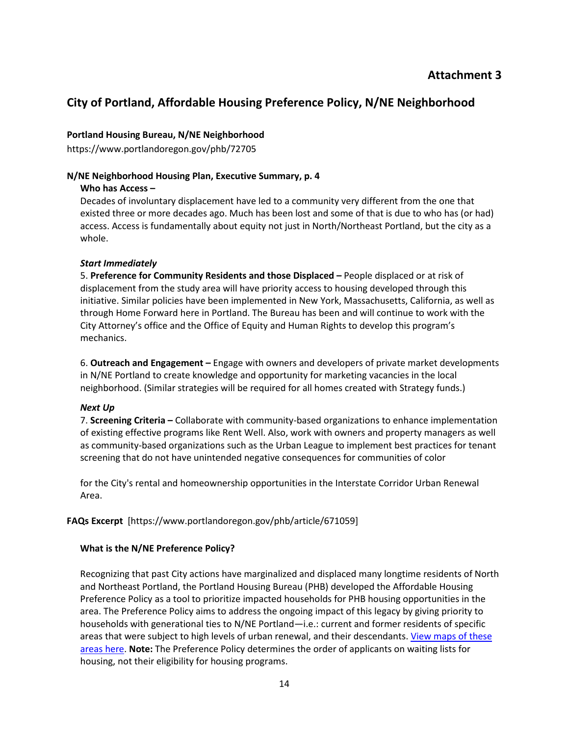# **City of Portland, Affordable Housing Preference Policy, N/NE Neighborhood**

## **Portland Housing Bureau, N/NE Neighborhood**

https://www.portlandoregon.gov/phb/72705

#### **N/NE Neighborhood Housing Plan, Executive Summary, p. 4**

#### **Who has Access –**

Decades of involuntary displacement have led to a community very different from the one that existed three or more decades ago. Much has been lost and some of that is due to who has (or had) access. Access is fundamentally about equity not just in North/Northeast Portland, but the city as a whole.

### *Start Immediately*

5. **Preference for Community Residents and those Displaced –** People displaced or at risk of displacement from the study area will have priority access to housing developed through this initiative. Similar policies have been implemented in New York, Massachusetts, California, as well as through Home Forward here in Portland. The Bureau has been and will continue to work with the City Attorney's office and the Office of Equity and Human Rights to develop this program's mechanics.

6. **Outreach and Engagement –** Engage with owners and developers of private market developments in N/NE Portland to create knowledge and opportunity for marketing vacancies in the local neighborhood. (Similar strategies will be required for all homes created with Strategy funds.)

# *Next Up*

7. **Screening Criteria –** Collaborate with community-based organizations to enhance implementation of existing effective programs like Rent Well. Also, work with owners and property managers as well as community-based organizations such as the Urban League to implement best practices for tenant screening that do not have unintended negative consequences for communities of color

for the City's rental and homeownership opportunities in the Interstate Corridor Urban Renewal Area.

# **FAQs Excerpt** [https://www.portlandoregon.gov/phb/article/671059]

# **What is the N/NE Preference Policy?**

Recognizing that past City actions have marginalized and displaced many longtime residents of North and Northeast Portland, the Portland Housing Bureau (PHB) developed the Affordable Housing Preference Policy as a tool to prioritize impacted households for PHB housing opportunities in the area. The Preference Policy aims to address the ongoing impact of this legacy by giving priority to households with generational ties to N/NE Portland—i.e.: current and former residents of specific areas that were subject to high levels of urban renewal, and their descendants. View maps of these [areas here.](https://www.portlandoregon.gov/phb/article/656409) **Note:** The Preference Policy determines the order of applicants on waiting lists for housing, not their eligibility for housing programs.